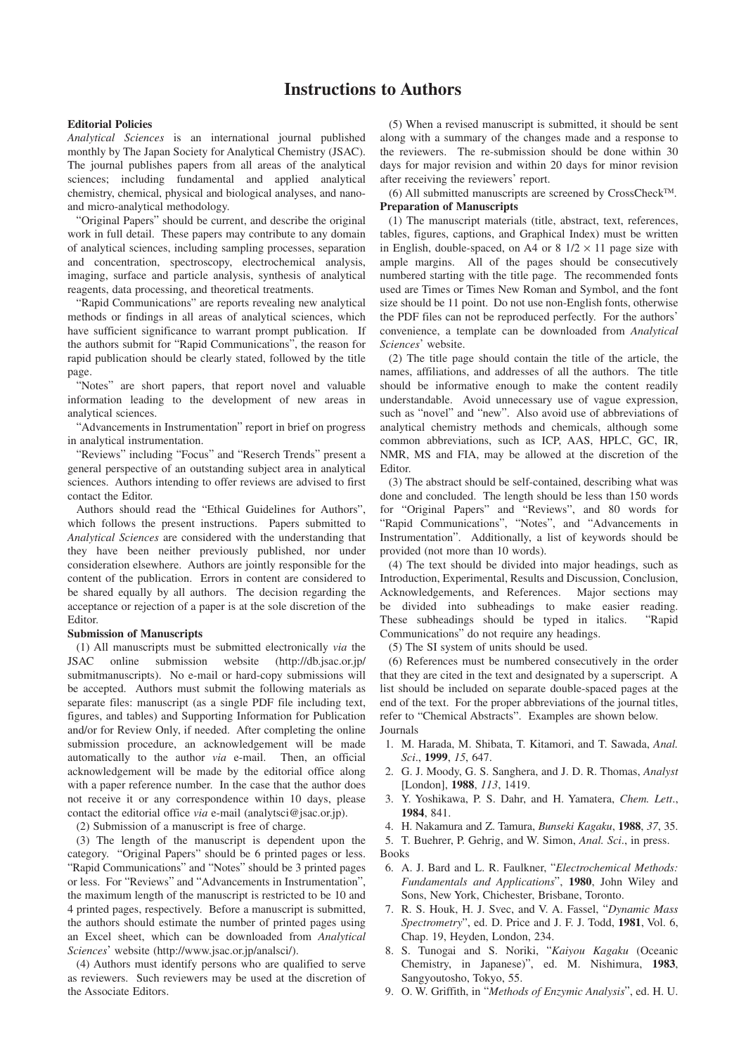# **Instructions to Authors**

### **Editorial Policies**

*Analytical Sciences* is an international journal published monthly by The Japan Society for Analytical Chemistry (JSAC). The journal publishes papers from all areas of the analytical sciences; including fundamental and applied analytical chemistry, chemical, physical and biological analyses, and nanoand micro-analytical methodology.

"Original Papers" should be current, and describe the original work in full detail. These papers may contribute to any domain of analytical sciences, including sampling processes, separation and concentration, spectroscopy, electrochemical analysis, imaging, surface and particle analysis, synthesis of analytical reagents, data processing, and theoretical treatments.

"Rapid Communications" are reports revealing new analytical methods or findings in all areas of analytical sciences, which have sufficient significance to warrant prompt publication. If the authors submit for "Rapid Communications", the reason for rapid publication should be clearly stated, followed by the title page.

"Notes" are short papers, that report novel and valuable information leading to the development of new areas in analytical sciences.

"Advancements in Instrumentation" report in brief on progress in analytical instrumentation.

"Reviews" including "Focus" and "Reserch Trends" present a general perspective of an outstanding subject area in analytical sciences. Authors intending to offer reviews are advised to first contact the Editor.

Authors should read the "Ethical Guidelines for Authors", which follows the present instructions. Papers submitted to *Analytical Sciences* are considered with the understanding that they have been neither previously published, nor under consideration elsewhere. Authors are jointly responsible for the content of the publication. Errors in content are considered to be shared equally by all authors. The decision regarding the acceptance or rejection of a paper is at the sole discretion of the Editor.

#### **Submission of Manuscripts**

(1) All manuscripts must be submitted electronically *via* the JSAC online submission website (http://db.jsac.or.jp/ submitmanuscripts). No e-mail or hard-copy submissions will be accepted. Authors must submit the following materials as separate files: manuscript (as a single PDF file including text, figures, and tables) and Supporting Information for Publication and/or for Review Only, if needed. After completing the online submission procedure, an acknowledgement will be made automatically to the author *via* e-mail. Then, an official acknowledgement will be made by the editorial office along with a paper reference number. In the case that the author does not receive it or any correspondence within 10 days, please contact the editorial office *via* e-mail (analytsci@jsac.or.jp).

(2) Submission of a manuscript is free of charge.

(3) The length of the manuscript is dependent upon the category. "Original Papers" should be 6 printed pages or less. "Rapid Communications" and "Notes" should be 3 printed pages or less. For "Reviews" and "Advancements in Instrumentation", the maximum length of the manuscript is restricted to be 10 and 4 printed pages, respectively. Before a manuscript is submitted, the authors should estimate the number of printed pages using an Excel sheet, which can be downloaded from *Analytical Sciences*' website (http://www.jsac.or.jp/analsci/).

(4) Authors must identify persons who are qualified to serve as reviewers. Such reviewers may be used at the discretion of the Associate Editors.

(5) When a revised manuscript is submitted, it should be sent along with a summary of the changes made and a response to the reviewers. The re-submission should be done within 30 days for major revision and within 20 days for minor revision after receiving the reviewers' report.

(6) All submitted manuscripts are screened by CrossCheckTM. **Preparation of Manuscripts**

(1) The manuscript materials (title, abstract, text, references, tables, figures, captions, and Graphical Index) must be written in English, double-spaced, on A4 or  $8 \frac{1}{2} \times 11$  page size with ample margins. All of the pages should be consecutively numbered starting with the title page. The recommended fonts used are Times or Times New Roman and Symbol, and the font size should be 11 point. Do not use non-English fonts, otherwise the PDF files can not be reproduced perfectly. For the authors' convenience, a template can be downloaded from *Analytical Sciences*' website.

(2) The title page should contain the title of the article, the names, affiliations, and addresses of all the authors. The title should be informative enough to make the content readily understandable. Avoid unnecessary use of vague expression, such as "novel" and "new". Also avoid use of abbreviations of analytical chemistry methods and chemicals, although some common abbreviations, such as ICP, AAS, HPLC, GC, IR, NMR, MS and FIA, may be allowed at the discretion of the Editor.

(3) The abstract should be self-contained, describing what was done and concluded. The length should be less than 150 words for "Original Papers" and "Reviews", and 80 words for "Rapid Communications", "Notes", and "Advancements in Instrumentation". Additionally, a list of keywords should be provided (not more than 10 words).

(4) The text should be divided into major headings, such as Introduction, Experimental, Results and Discussion, Conclusion, Acknowledgements, and References. Major sections may be divided into subheadings to make easier reading. These subheadings should be typed in italics. "Rapid Communications" do not require any headings.

(5) The SI system of units should be used.

(6) References must be numbered consecutively in the order that they are cited in the text and designated by a superscript. A list should be included on separate double-spaced pages at the end of the text. For the proper abbreviations of the journal titles, refer to "Chemical Abstracts". Examples are shown below. Journals

- 1. M. Harada, M. Shibata, T. Kitamori, and T. Sawada, *Anal. Sci*., **1999**, *15*, 647.
- 2. G. J. Moody, G. S. Sanghera, and J. D. R. Thomas, *Analyst* [London], **1988**, *113*, 1419.
- 3. Y. Yoshikawa, P. S. Dahr, and H. Yamatera, *Chem. Lett*., **1984**, 841.
- 4. H. Nakamura and Z. Tamura, *Bunseki Kagaku*, **1988**, *37*, 35.
- 5. T. Buehrer, P. Gehrig, and W. Simon, *Anal. Sci*., in press. Books
- 6. A. J. Bard and L. R. Faulkner, "*Electrochemical Methods: Fundamentals and Applications*", **1980**, John Wiley and Sons, New York, Chichester, Brisbane, Toronto.
- 7. R. S. Houk, H. J. Svec, and V. A. Fassel, "*Dynamic Mass Spectrometry*", ed. D. Price and J. F. J. Todd, **1981**, Vol. 6, Chap. 19, Heyden, London, 234.
- 8. S. Tunogai and S. Noriki, "*Kaiyou Kagaku* (Oceanic Chemistry, in Japanese)", ed. M. Nishimura, **1983**, Sangyoutosho, Tokyo, 55.
- 9. O. W. Griffith, in "*Methods of Enzymic Analysis*", ed. H. U.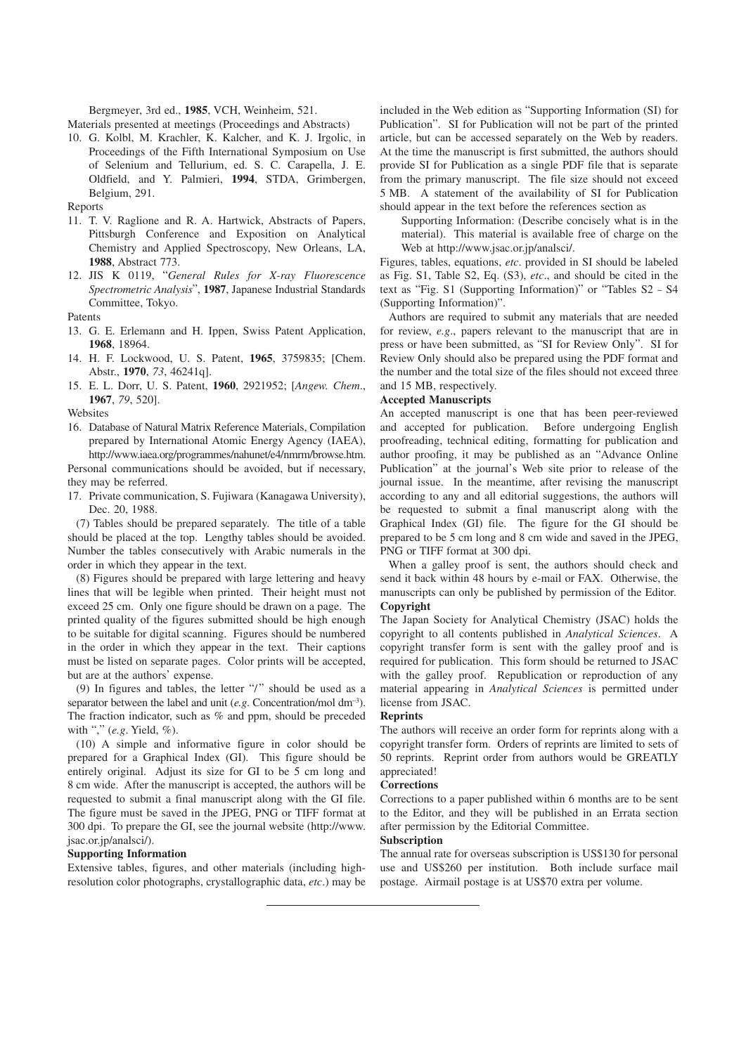Bergmeyer, 3rd ed., **1985**, VCH, Weinheim, 521.

Materials presented at meetings (Proceedings and Abstracts)

10. G. Kolbl, M. Krachler, K. Kalcher, and K. J. Irgolic, in Proceedings of the Fifth International Symposium on Use of Selenium and Tellurium, ed. S. C. Carapella, J. E. Oldfield, and Y. Palmieri, **1994**, STDA, Grimbergen, Belgium, 291.

Reports

- 11. T. V. Raglione and R. A. Hartwick, Abstracts of Papers, Pittsburgh Conference and Exposition on Analytical Chemistry and Applied Spectroscopy, New Orleans, LA, **1988**, Abstract 773.
- 12. JIS K 0119, "*General Rules for X-ray Fluorescence Spectrometric Analysis*", **1987**, Japanese Industrial Standards Committee, Tokyo.

Patents

- 13. G. E. Erlemann and H. Ippen, Swiss Patent Application, **1968**, 18964.
- 14. H. F. Lockwood, U. S. Patent, **1965**, 3759835; [Chem. Abstr., **1970**, *73*, 46241q].
- 15. E. L. Dorr, U. S. Patent, **1960**, 2921952; [*Angew. Chem*., **1967**, *79*, 520].

**Websites** 

- 16. Database of Natural Matrix Reference Materials, Compilation prepared by International Atomic Energy Agency (IAEA), http://www.iaea.org/programmes/nahunet/e4/nmrm/browse.htm. Personal communications should be avoided, but if necessary,
- they may be referred. 17. Private communication, S. Fujiwara (Kanagawa University), Dec. 20, 1988.

(7) Tables should be prepared separately. The title of a table should be placed at the top. Lengthy tables should be avoided. Number the tables consecutively with Arabic numerals in the order in which they appear in the text.

(8) Figures should be prepared with large lettering and heavy lines that will be legible when printed. Their height must not exceed 25 cm. Only one figure should be drawn on a page. The printed quality of the figures submitted should be high enough to be suitable for digital scanning. Figures should be numbered in the order in which they appear in the text. Their captions must be listed on separate pages. Color prints will be accepted, but are at the authors' expense.

(9) In figures and tables, the letter " $\prime$ " should be used as a separator between the label and unit (*e.g*. Concentration/mol dm–3). The fraction indicator, such as % and ppm, should be preceded with "," (*e.g*. Yield, %).

(10) A simple and informative figure in color should be prepared for a Graphical Index (GI). This figure should be entirely original. Adjust its size for GI to be 5 cm long and 8 cm wide. After the manuscript is accepted, the authors will be requested to submit a final manuscript along with the GI file. The figure must be saved in the JPEG, PNG or TIFF format at 300 dpi. To prepare the GI, see the journal website (http://www. jsac.or.jp/analsci/).

#### **Supporting Information**

Extensive tables, figures, and other materials (including highresolution color photographs, crystallographic data, *etc*.) may be

included in the Web edition as "Supporting Information (SI) for Publication". SI for Publication will not be part of the printed article, but can be accessed separately on the Web by readers. At the time the manuscript is first submitted, the authors should provide SI for Publication as a single PDF file that is separate from the primary manuscript. The file size should not exceed 5 MB. A statement of the availability of SI for Publication should appear in the text before the references section as

Supporting Information: (Describe concisely what is in the material). This material is available free of charge on the Web at http://www.jsac.or.jp/analsci/.

Figures, tables, equations, *etc*. provided in SI should be labeled as Fig. S1, Table S2, Eq. (S3), *etc*., and should be cited in the text as "Fig. S1 (Supporting Information)" or "Tables S2 – S4 (Supporting Information)".

Authors are required to submit any materials that are needed for review, *e.g*., papers relevant to the manuscript that are in press or have been submitted, as "SI for Review Only". SI for Review Only should also be prepared using the PDF format and the number and the total size of the files should not exceed three and 15 MB, respectively.

#### **Accepted Manuscripts**

An accepted manuscript is one that has been peer-reviewed and accepted for publication. Before undergoing English proofreading, technical editing, formatting for publication and author proofing, it may be published as an "Advance Online Publication" at the journal's Web site prior to release of the journal issue. In the meantime, after revising the manuscript according to any and all editorial suggestions, the authors will be requested to submit a final manuscript along with the Graphical Index (GI) file. The figure for the GI should be prepared to be 5 cm long and 8 cm wide and saved in the JPEG, PNG or TIFF format at 300 dpi.

When a galley proof is sent, the authors should check and send it back within 48 hours by e-mail or FAX. Otherwise, the manuscripts can only be published by permission of the Editor. **Copyright**

The Japan Society for Analytical Chemistry (JSAC) holds the copyright to all contents published in *Analytical Sciences*. A copyright transfer form is sent with the galley proof and is required for publication. This form should be returned to JSAC with the galley proof. Republication or reproduction of any material appearing in *Analytical Sciences* is permitted under license from JSAC.

## **Reprints**

The authors will receive an order form for reprints along with a copyright transfer form. Orders of reprints are limited to sets of 50 reprints. Reprint order from authors would be GREATLY appreciated!

#### **Corrections**

Corrections to a paper published within 6 months are to be sent to the Editor, and they will be published in an Errata section after permission by the Editorial Committee.

#### **Subscription**

The annual rate for overseas subscription is US\$130 for personal use and US\$260 per institution. Both include surface mail postage. Airmail postage is at US\$70 extra per volume.